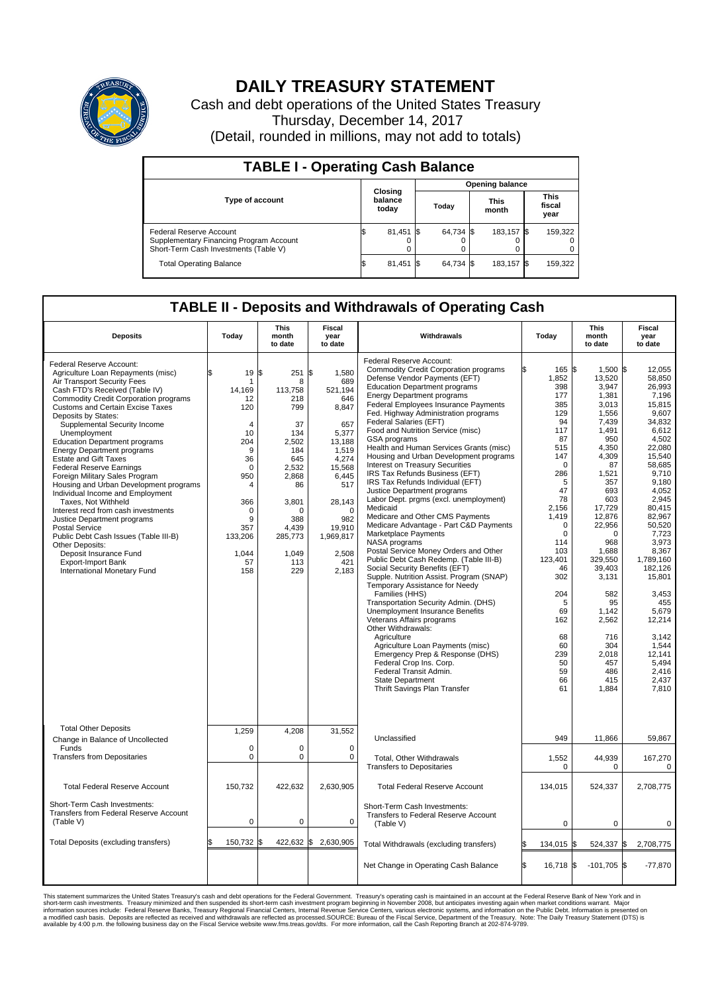

## **DAILY TREASURY STATEMENT**

Cash and debt operations of the United States Treasury Thursday, December 14, 2017 (Detail, rounded in millions, may not add to totals)

| <b>TABLE I - Operating Cash Balance</b>                                                                     |    |                             |                        |           |  |                      |  |                               |  |  |
|-------------------------------------------------------------------------------------------------------------|----|-----------------------------|------------------------|-----------|--|----------------------|--|-------------------------------|--|--|
|                                                                                                             |    |                             | <b>Opening balance</b> |           |  |                      |  |                               |  |  |
| <b>Type of account</b>                                                                                      |    | Closing<br>balance<br>today |                        | Today     |  | <b>This</b><br>month |  | <b>This</b><br>fiscal<br>year |  |  |
| Federal Reserve Account<br>Supplementary Financing Program Account<br>Short-Term Cash Investments (Table V) |    | $81,451$ \$                 |                        | 64,734 \$ |  | 183.157 \$           |  | 159,322                       |  |  |
| <b>Total Operating Balance</b>                                                                              | ıъ | $81,451$ \$                 |                        | 64,734 \$ |  | 183,157 \$           |  | 159,322                       |  |  |

## **TABLE II - Deposits and Withdrawals of Operating Cash**

| <b>Deposits</b>                                                                                                                                                                                                                                                                                                                                                                                                                                                                                                                                                                                                                                                                                                                                                                                                                           | Today                                                                                                                                                                            | This<br>month<br>to date                                                                                                                                                    | Fiscal<br>year<br>to date                                                                                                                                                                        | Withdrawals                                                                                                                                                                                                                                                                                                                                                                                                                                                                                                                                                                                                                                                                                                                                                                                                                                                                                                                                                                                                                                                                                                                                                                                                                                                                                                                    | Today                                                                                                                                                                                                                                                                      | <b>This</b><br>month<br>to date                                                                                                                                                                                                                                                                            | Fiscal<br>year<br>to date                                                                                                                                                                                                                                                                                                                          |  |  |  |
|-------------------------------------------------------------------------------------------------------------------------------------------------------------------------------------------------------------------------------------------------------------------------------------------------------------------------------------------------------------------------------------------------------------------------------------------------------------------------------------------------------------------------------------------------------------------------------------------------------------------------------------------------------------------------------------------------------------------------------------------------------------------------------------------------------------------------------------------|----------------------------------------------------------------------------------------------------------------------------------------------------------------------------------|-----------------------------------------------------------------------------------------------------------------------------------------------------------------------------|--------------------------------------------------------------------------------------------------------------------------------------------------------------------------------------------------|--------------------------------------------------------------------------------------------------------------------------------------------------------------------------------------------------------------------------------------------------------------------------------------------------------------------------------------------------------------------------------------------------------------------------------------------------------------------------------------------------------------------------------------------------------------------------------------------------------------------------------------------------------------------------------------------------------------------------------------------------------------------------------------------------------------------------------------------------------------------------------------------------------------------------------------------------------------------------------------------------------------------------------------------------------------------------------------------------------------------------------------------------------------------------------------------------------------------------------------------------------------------------------------------------------------------------------|----------------------------------------------------------------------------------------------------------------------------------------------------------------------------------------------------------------------------------------------------------------------------|------------------------------------------------------------------------------------------------------------------------------------------------------------------------------------------------------------------------------------------------------------------------------------------------------------|----------------------------------------------------------------------------------------------------------------------------------------------------------------------------------------------------------------------------------------------------------------------------------------------------------------------------------------------------|--|--|--|
| Federal Reserve Account:<br>Agriculture Loan Repayments (misc)<br>Air Transport Security Fees<br>Cash FTD's Received (Table IV)<br><b>Commodity Credit Corporation programs</b><br><b>Customs and Certain Excise Taxes</b><br>Deposits by States:<br>Supplemental Security Income<br>Unemployment<br><b>Education Department programs</b><br><b>Energy Department programs</b><br><b>Estate and Gift Taxes</b><br><b>Federal Reserve Earnings</b><br>Foreign Military Sales Program<br>Housing and Urban Development programs<br>Individual Income and Employment<br>Taxes, Not Withheld<br>Interest recd from cash investments<br>Justice Department programs<br><b>Postal Service</b><br>Public Debt Cash Issues (Table III-B)<br>Other Deposits:<br>Deposit Insurance Fund<br><b>Export-Import Bank</b><br>International Monetary Fund | 19<br>1<br>14,169<br>12<br>120<br>$\overline{4}$<br>10<br>204<br>9<br>36<br>$\Omega$<br>950<br>$\overline{4}$<br>366<br>$\mathbf 0$<br>9<br>357<br>133,206<br>1,044<br>57<br>158 | l\$<br>251<br>8<br>113,758<br>218<br>799<br>37<br>134<br>2,502<br>184<br>645<br>2,532<br>2,868<br>86<br>3,801<br>$\Omega$<br>388<br>4,439<br>285,773<br>1,049<br>113<br>229 | 1,580<br>\$<br>689<br>521,194<br>646<br>8,847<br>657<br>5.377<br>13,188<br>1,519<br>4,274<br>15,568<br>6,445<br>517<br>28,143<br>$\Omega$<br>982<br>19,910<br>1,969,817<br>2,508<br>421<br>2.183 | <b>Federal Reserve Account:</b><br><b>Commodity Credit Corporation programs</b><br>Defense Vendor Payments (EFT)<br><b>Education Department programs</b><br><b>Energy Department programs</b><br>Federal Employees Insurance Payments<br>Fed. Highway Administration programs<br>Federal Salaries (EFT)<br>Food and Nutrition Service (misc)<br>GSA programs<br>Health and Human Services Grants (misc)<br>Housing and Urban Development programs<br>Interest on Treasury Securities<br>IRS Tax Refunds Business (EFT)<br>IRS Tax Refunds Individual (EFT)<br>Justice Department programs<br>Labor Dept. prgms (excl. unemployment)<br>Medicaid<br>Medicare and Other CMS Payments<br>Medicare Advantage - Part C&D Payments<br>Marketplace Payments<br>NASA programs<br>Postal Service Money Orders and Other<br>Public Debt Cash Redemp. (Table III-B)<br>Social Security Benefits (EFT)<br>Supple. Nutrition Assist. Program (SNAP)<br>Temporary Assistance for Needy<br>Families (HHS)<br>Transportation Security Admin. (DHS)<br>Unemployment Insurance Benefits<br>Veterans Affairs programs<br>Other Withdrawals:<br>Agriculture<br>Agriculture Loan Payments (misc)<br>Emergency Prep & Response (DHS)<br>Federal Crop Ins. Corp.<br>Federal Transit Admin.<br><b>State Department</b><br>Thrift Savings Plan Transfer | 165 \$<br>1,852<br>398<br>177<br>385<br>129<br>94<br>117<br>87<br>515<br>147<br>$\mathbf 0$<br>286<br>5<br>47<br>78<br>2,156<br>1,419<br>$\mathbf 0$<br>$\Omega$<br>114<br>103<br>123,401<br>46<br>302<br>204<br>5<br>69<br>162<br>68<br>60<br>239<br>50<br>59<br>66<br>61 | 1,500 \$<br>13,520<br>3.947<br>1,381<br>3.013<br>1,556<br>7,439<br>1,491<br>950<br>4,350<br>4,309<br>87<br>1,521<br>357<br>693<br>603<br>17,729<br>12,876<br>22,956<br>0<br>968<br>1.688<br>329,550<br>39,403<br>3,131<br>582<br>95<br>1,142<br>2,562<br>716<br>304<br>2.018<br>457<br>486<br>415<br>1,884 | 12,055<br>58,850<br>26.993<br>7,196<br>15.815<br>9,607<br>34,832<br>6,612<br>4.502<br>22.080<br>15,540<br>58,685<br>9.710<br>9,180<br>4,052<br>2.945<br>80,415<br>82,967<br>50.520<br>7,723<br>3,973<br>8,367<br>1,789,160<br>182,126<br>15,801<br>3,453<br>455<br>5,679<br>12,214<br>3.142<br>1,544<br>12.141<br>5,494<br>2,416<br>2,437<br>7.810 |  |  |  |
| <b>Total Other Deposits</b><br>Change in Balance of Uncollected                                                                                                                                                                                                                                                                                                                                                                                                                                                                                                                                                                                                                                                                                                                                                                           | 1,259                                                                                                                                                                            | 4,208                                                                                                                                                                       | 31,552                                                                                                                                                                                           | Unclassified                                                                                                                                                                                                                                                                                                                                                                                                                                                                                                                                                                                                                                                                                                                                                                                                                                                                                                                                                                                                                                                                                                                                                                                                                                                                                                                   | 949                                                                                                                                                                                                                                                                        | 11,866                                                                                                                                                                                                                                                                                                     | 59,867                                                                                                                                                                                                                                                                                                                                             |  |  |  |
| Funds<br><b>Transfers from Depositaries</b>                                                                                                                                                                                                                                                                                                                                                                                                                                                                                                                                                                                                                                                                                                                                                                                               | $\mathbf 0$<br>$\pmb{0}$                                                                                                                                                         | $\Omega$<br>$\mathbf 0$                                                                                                                                                     | 0<br>0                                                                                                                                                                                           | Total, Other Withdrawals<br><b>Transfers to Depositaries</b>                                                                                                                                                                                                                                                                                                                                                                                                                                                                                                                                                                                                                                                                                                                                                                                                                                                                                                                                                                                                                                                                                                                                                                                                                                                                   | 1,552<br>$\Omega$                                                                                                                                                                                                                                                          | 44,939<br>$\Omega$                                                                                                                                                                                                                                                                                         | 167,270<br>$\mathbf 0$                                                                                                                                                                                                                                                                                                                             |  |  |  |
| <b>Total Federal Reserve Account</b>                                                                                                                                                                                                                                                                                                                                                                                                                                                                                                                                                                                                                                                                                                                                                                                                      | 150,732                                                                                                                                                                          | 422,632                                                                                                                                                                     | 2,630,905                                                                                                                                                                                        | <b>Total Federal Reserve Account</b>                                                                                                                                                                                                                                                                                                                                                                                                                                                                                                                                                                                                                                                                                                                                                                                                                                                                                                                                                                                                                                                                                                                                                                                                                                                                                           | 134,015                                                                                                                                                                                                                                                                    | 524,337                                                                                                                                                                                                                                                                                                    | 2,708,775                                                                                                                                                                                                                                                                                                                                          |  |  |  |
| Short-Term Cash Investments:<br>Transfers from Federal Reserve Account<br>(Table V)                                                                                                                                                                                                                                                                                                                                                                                                                                                                                                                                                                                                                                                                                                                                                       | $\mathbf 0$                                                                                                                                                                      | $\mathbf 0$                                                                                                                                                                 | 0                                                                                                                                                                                                | Short-Term Cash Investments:<br>Transfers to Federal Reserve Account<br>(Table V)                                                                                                                                                                                                                                                                                                                                                                                                                                                                                                                                                                                                                                                                                                                                                                                                                                                                                                                                                                                                                                                                                                                                                                                                                                              | $\mathbf 0$                                                                                                                                                                                                                                                                | 0                                                                                                                                                                                                                                                                                                          | 0                                                                                                                                                                                                                                                                                                                                                  |  |  |  |
| Total Deposits (excluding transfers)                                                                                                                                                                                                                                                                                                                                                                                                                                                                                                                                                                                                                                                                                                                                                                                                      | 150,732 \$                                                                                                                                                                       | 422,632                                                                                                                                                                     | 2,630,905<br>\$                                                                                                                                                                                  | Total Withdrawals (excluding transfers)                                                                                                                                                                                                                                                                                                                                                                                                                                                                                                                                                                                                                                                                                                                                                                                                                                                                                                                                                                                                                                                                                                                                                                                                                                                                                        | 134,015                                                                                                                                                                                                                                                                    | 524,337 \$<br>I\$                                                                                                                                                                                                                                                                                          | 2,708,775                                                                                                                                                                                                                                                                                                                                          |  |  |  |
|                                                                                                                                                                                                                                                                                                                                                                                                                                                                                                                                                                                                                                                                                                                                                                                                                                           |                                                                                                                                                                                  |                                                                                                                                                                             |                                                                                                                                                                                                  | Net Change in Operating Cash Balance                                                                                                                                                                                                                                                                                                                                                                                                                                                                                                                                                                                                                                                                                                                                                                                                                                                                                                                                                                                                                                                                                                                                                                                                                                                                                           | Ŝ.<br>$16,718$ \$                                                                                                                                                                                                                                                          | $-101,705$ \$                                                                                                                                                                                                                                                                                              | $-77,870$                                                                                                                                                                                                                                                                                                                                          |  |  |  |

This statement summarizes the United States Treasury's cash and debt operations for the Federal Government. Treasury soperating in November 2008, but anticiarded in a cocount at the Federal Reserve Bank of New York and in<br>